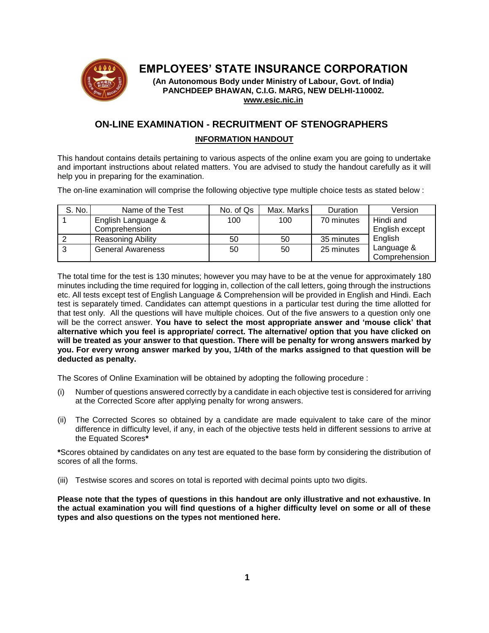

# **EMPLOYEES' STATE INSURANCE CORPORATION**

**(An Autonomous Body under Ministry of Labour, Govt. of India) PANCHDEEP BHAWAN, C.I.G. MARG, NEW DELHI-110002. [www.esic.nic.in](http://www.esic.nic.in/)**

## **ON-LINE EXAMINATION - RECRUITMENT OF STENOGRAPHERS INFORMATION HANDOUT**

This handout contains details pertaining to various aspects of the online exam you are going to undertake and important instructions about related matters. You are advised to study the handout carefully as it will help you in preparing for the examination.

The on-line examination will comprise the following objective type multiple choice tests as stated below :

| S. No. | Name of the Test         | No. of Qs | Max. Marks | <b>Duration</b> | Version                     |
|--------|--------------------------|-----------|------------|-----------------|-----------------------------|
|        | English Language &       | 100       | 100        | 70 minutes      | Hindi and                   |
|        | Comprehension            |           |            |                 | English except              |
|        | <b>Reasoning Ability</b> | 50        | 50         | 35 minutes      | English                     |
| O      | <b>General Awareness</b> | 50        | 50         | 25 minutes      | Language &<br>Comprehension |

The total time for the test is 130 minutes; however you may have to be at the venue for approximately 180 minutes including the time required for logging in, collection of the call letters, going through the instructions etc. All tests except test of English Language & Comprehension will be provided in English and Hindi. Each test is separately timed. Candidates can attempt questions in a particular test during the time allotted for that test only. All the questions will have multiple choices. Out of the five answers to a question only one will be the correct answer. **You have to select the most appropriate answer and 'mouse click' that alternative which you feel is appropriate/ correct. The alternative/ option that you have clicked on will be treated as your answer to that question. There will be penalty for wrong answers marked by you. For every wrong answer marked by you, 1/4th of the marks assigned to that question will be deducted as penalty.**

The Scores of Online Examination will be obtained by adopting the following procedure :

- (i) Number of questions answered correctly by a candidate in each objective test is considered for arriving at the Corrected Score after applying penalty for wrong answers.
- (ii) The Corrected Scores so obtained by a candidate are made equivalent to take care of the minor difference in difficulty level, if any, in each of the objective tests held in different sessions to arrive at the Equated Scores**\***

**\***Scores obtained by candidates on any test are equated to the base form by considering the distribution of scores of all the forms.

(iii) Testwise scores and scores on total is reported with decimal points upto two digits.

**Please note that the types of questions in this handout are only illustrative and not exhaustive. In the actual examination you will find questions of a higher difficulty level on some or all of these types and also questions on the types not mentioned here.**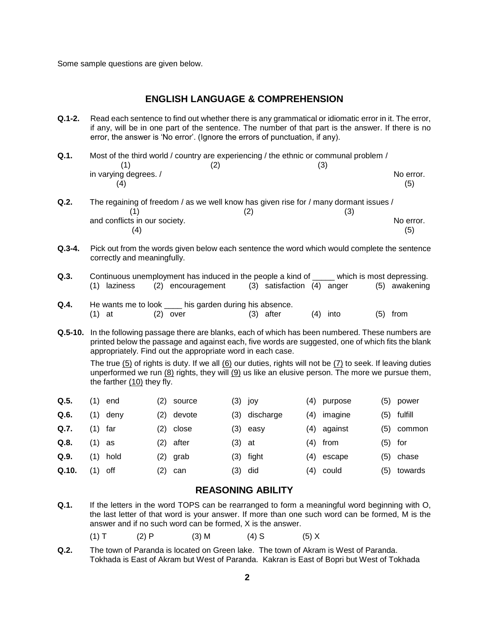Some sample questions are given below.

## **ENGLISH LANGUAGE & COMPREHENSION**

- **Q.1-2.** Read each sentence to find out whether there is any grammatical or idiomatic error in it. The error, if any, will be in one part of the sentence. The number of that part is the answer. If there is no error, the answer is 'No error'. (Ignore the errors of punctuation, if any).
- **Q.1.** Most of the third world / country are experiencing / the ethnic or communal problem /  $(1)$   $(2)$   $(3)$ in varying degrees. / No error.  $(4)$  (5)
- **Q.2.** The regaining of freedom / as we well know has given rise for / many dormant issues /  $(1)$   $(2)$   $(3)$ and conflicts in our society. No error.  $(4)$  (5)
- **Q.3-4.** Pick out from the words given below each sentence the word which would complete the sentence correctly and meaningfully.
- **Q.3.** Continuous unemployment has induced in the people a kind of which is most depressing. (1) laziness (2) encouragement (3) satisfaction (4) anger (5) awakening
- **Q.4.** He wants me to look <u>each his garden during his absence</u>. (1) at  $(2)$  over  $(3)$  after  $(4)$  into  $(5)$  from
- **Q.5-10.** In the following passage there are blanks, each of which has been numbered. These numbers are printed below the passage and against each, five words are suggested, one of which fits the blank appropriately. Find out the appropriate word in each case.

The true (5) of rights is duty. If we all (6) our duties, rights will not be (7) to seek. If leaving duties unperformed we run (8) rights, they will (9) us like an elusive person. The more we pursue them, the farther (10) they fly.

| Q.5.  | (1)     | end      | (2) | source | (3) јоу   |           | (4) | purpose | (5) | power   |
|-------|---------|----------|-----|--------|-----------|-----------|-----|---------|-----|---------|
| Q.6.  |         | (1) deny | (2) | devote | (3)       | discharge | (4) | imagine | (5) | fulfill |
| Q.7.  | (1) far |          | (2) | close  | (3)       | easv      | (4) | against | (5) | common  |
| Q.8.  | (1)     | as       | (2) | after  | (3)       | at        | (4) | from    | (5) | for     |
| Q.9.  |         | (1) hold | (2) | grab   | (3)       | fight     | (4) | escape  | (5) | chase   |
| Q.10. | (1)     | off      | (2) | can    | $(3)$ did |           | (4) | could   | (5) | towards |

## **REASONING ABILITY**

- **Q.1.** If the letters in the word TOPS can be rearranged to form a meaningful word beginning with O, the last letter of that word is your answer. If more than one such word can be formed, M is the answer and if no such word can be formed, X is the answer.
	- (1) T (2) P (3) M (4) S (5) X
- **Q.2.** The town of Paranda is located on Green lake. The town of Akram is West of Paranda. Tokhada is East of Akram but West of Paranda. Kakran is East of Bopri but West of Tokhada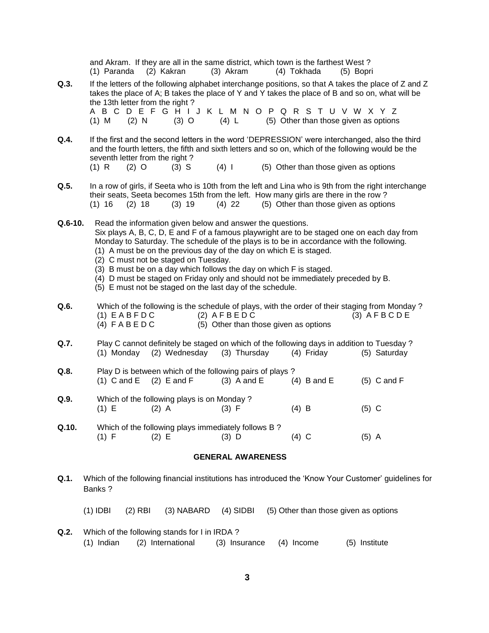|                          |            | (1) Paranda                                                                                                                                                                                                                                                                                                                                                                                                                                                                                                                                                                               | (2) Kakran                      | and Akram. If they are all in the same district, which town is the farthest West? | (3) Akram   |               |  |         | (4) Tokhada                           | (5) Bopri |         |                                                                                                                                                                                                         |  |
|--------------------------|------------|-------------------------------------------------------------------------------------------------------------------------------------------------------------------------------------------------------------------------------------------------------------------------------------------------------------------------------------------------------------------------------------------------------------------------------------------------------------------------------------------------------------------------------------------------------------------------------------------|---------------------------------|-----------------------------------------------------------------------------------|-------------|---------------|--|---------|---------------------------------------|-----------|---------|---------------------------------------------------------------------------------------------------------------------------------------------------------------------------------------------------------|--|
| Q.3.                     |            |                                                                                                                                                                                                                                                                                                                                                                                                                                                                                                                                                                                           | the 13th letter from the right? | A B C D E F G H I J K L M N O P Q R S T U V W X Y Z                               |             |               |  |         |                                       |           |         | If the letters of the following alphabet interchange positions, so that A takes the place of Z and Z<br>takes the place of A; B takes the place of Y and Y takes the place of B and so on, what will be |  |
|                          | $(1)$ M    | $(2)$ N                                                                                                                                                                                                                                                                                                                                                                                                                                                                                                                                                                                   |                                 | $(3)$ O                                                                           | (4) L       |               |  |         | (5) Other than those given as options |           |         |                                                                                                                                                                                                         |  |
| Q.4.                     | (1) R      | $(2)$ O                                                                                                                                                                                                                                                                                                                                                                                                                                                                                                                                                                                   | seventh letter from the right?  | $(3)$ S                                                                           | $(4)$       |               |  |         | (5) Other than those given as options |           |         | If the first and the second letters in the word 'DEPRESSION' were interchanged, also the third<br>and the fourth letters, the fifth and sixth letters and so on, which of the following would be the    |  |
| Q.5.                     |            |                                                                                                                                                                                                                                                                                                                                                                                                                                                                                                                                                                                           |                                 |                                                                                   |             |               |  |         |                                       |           |         |                                                                                                                                                                                                         |  |
|                          |            | In a row of girls, if Seeta who is 10th from the left and Lina who is 9th from the right interchange<br>their seats, Seeta becomes 15th from the left. How many girls are there in the row?<br>(5) Other than those given as options<br>$(1)$ 16<br>$(2)$ 18<br>$(3)$ 19<br>$(4)$ 22                                                                                                                                                                                                                                                                                                      |                                 |                                                                                   |             |               |  |         |                                       |           |         |                                                                                                                                                                                                         |  |
| $Q.6-10.$                |            | Read the information given below and answer the questions.<br>Six plays A, B, C, D, E and F of a famous playwright are to be staged one on each day from<br>Monday to Saturday. The schedule of the plays is to be in accordance with the following.<br>(1) A must be on the previous day of the day on which E is staged.<br>(2) C must not be staged on Tuesday.<br>(3) B must be on a day which follows the day on which F is staged.<br>(4) D must be staged on Friday only and should not be immediately preceded by B.<br>(5) E must not be staged on the last day of the schedule. |                                 |                                                                                   |             |               |  |         |                                       |           |         |                                                                                                                                                                                                         |  |
| Q.6.                     |            | Which of the following is the schedule of plays, with the order of their staging from Monday?<br>$(1)$ EABFDC<br>$(2)$ AFBEDC<br>$(3)$ AFBCDE<br>(5) Other than those given as options<br>$(4)$ FABEDC                                                                                                                                                                                                                                                                                                                                                                                    |                                 |                                                                                   |             |               |  |         |                                       |           |         |                                                                                                                                                                                                         |  |
| Q.7.                     |            | Play C cannot definitely be staged on which of the following days in addition to Tuesday?<br>(2) Wednesday<br>(3) Thursday<br>(5) Saturday<br>(1) Monday<br>(4) Friday                                                                                                                                                                                                                                                                                                                                                                                                                    |                                 |                                                                                   |             |               |  |         |                                       |           |         |                                                                                                                                                                                                         |  |
| Q.8.                     |            | $(1)$ C and E                                                                                                                                                                                                                                                                                                                                                                                                                                                                                                                                                                             | $(2)$ E and F                   | Play D is between which of the following pairs of plays?                          |             | $(3)$ A and E |  |         | $(4)$ B and E                         |           |         | $(5)$ C and F                                                                                                                                                                                           |  |
| Q.9.                     | $(1)$ E    |                                                                                                                                                                                                                                                                                                                                                                                                                                                                                                                                                                                           | $(2)$ A                         | Which of the following plays is on Monday?                                        | (3) F       |               |  | $(4)$ B |                                       |           | $(5)$ C |                                                                                                                                                                                                         |  |
| Q.10.                    | (1) F      |                                                                                                                                                                                                                                                                                                                                                                                                                                                                                                                                                                                           | (2) E                           | Which of the following plays immediately follows B?                               | $(3)$ D     |               |  | $(4)$ C |                                       |           | $(5)$ A |                                                                                                                                                                                                         |  |
| <b>GENERAL AWARENESS</b> |            |                                                                                                                                                                                                                                                                                                                                                                                                                                                                                                                                                                                           |                                 |                                                                                   |             |               |  |         |                                       |           |         |                                                                                                                                                                                                         |  |
| Q.1.                     | Banks?     | Which of the following financial institutions has introduced the 'Know Your Customer' guidelines for                                                                                                                                                                                                                                                                                                                                                                                                                                                                                      |                                 |                                                                                   |             |               |  |         |                                       |           |         |                                                                                                                                                                                                         |  |
|                          | $(1)$ IDBI | $(2)$ RBI                                                                                                                                                                                                                                                                                                                                                                                                                                                                                                                                                                                 |                                 | (3) NABARD                                                                        | $(4)$ SIDBI |               |  |         | (5) Other than those given as options |           |         |                                                                                                                                                                                                         |  |

**Q.2.** Which of the following stands for I in IRDA ?<br>(1) Indian (2) International (3) Insurance (4) Income (5) Institute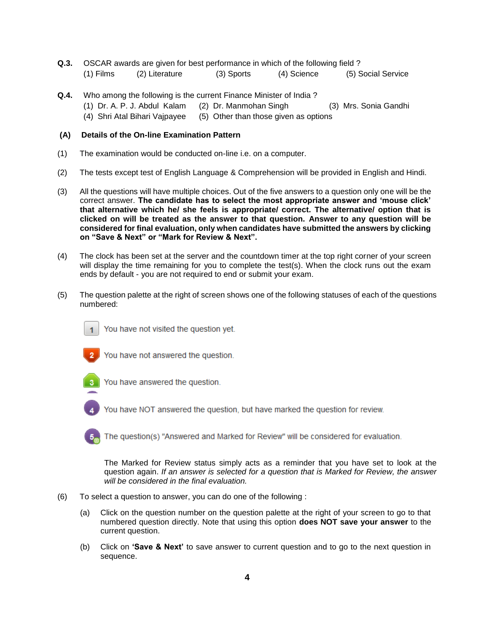- **Q.3.** OSCAR awards are given for best performance in which of the following field ? (1) Films (2) Literature (3) Sports (4) Science (5) Social Service
- **Q.4.** Who among the following is the current Finance Minister of India ? (1) Dr. A. P. J. Abdul Kalam (2) Dr. Manmohan Singh (3) Mrs. Sonia Gandhi (4) Shri Atal Bihari Vajpayee (5) Other than those given as options

#### **(A) Details of the On-line Examination Pattern**

- (1) The examination would be conducted on-line i.e. on a computer.
- (2) The tests except test of English Language & Comprehension will be provided in English and Hindi.
- (3) All the questions will have multiple choices. Out of the five answers to a question only one will be the correct answer. **The candidate has to select the most appropriate answer and 'mouse click' that alternative which he/ she feels is appropriate/ correct. The alternative/ option that is clicked on will be treated as the answer to that question. Answer to any question will be considered for final evaluation, only when candidates have submitted the answers by clicking on "Save & Next" or "Mark for Review & Next".**
- (4) The clock has been set at the server and the countdown timer at the top right corner of your screen will display the time remaining for you to complete the test(s). When the clock runs out the exam ends by default - you are not required to end or submit your exam.
- (5) The question palette at the right of screen shows one of the following statuses of each of the questions numbered:



You have not visited the question yet.



You have not answered the question.



You have answered the question.



You have NOT answered the question, but have marked the question for review.

The question(s) "Answered and Marked for Review" will be considered for evaluation.

The Marked for Review status simply acts as a reminder that you have set to look at the question again. *If an answer is selected for a question that is Marked for Review, the answer will be considered in the final evaluation.*

- (6) To select a question to answer, you can do one of the following :
	- (a) Click on the question number on the question palette at the right of your screen to go to that numbered question directly. Note that using this option **does NOT save your answer** to the current question.
	- (b) Click on **'Save & Next'** to save answer to current question and to go to the next question in sequence.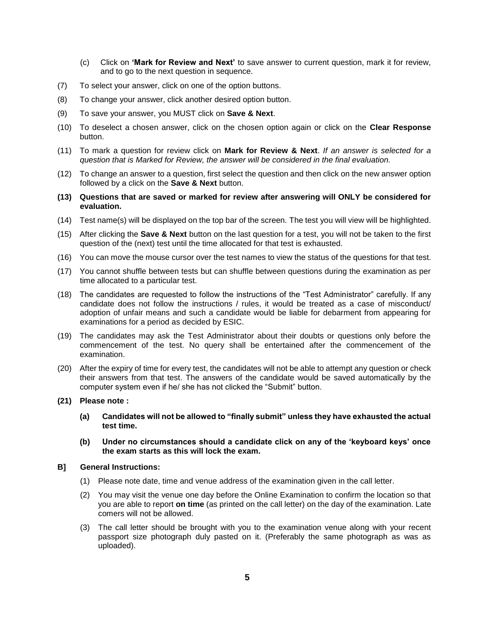- (c) Click on **'Mark for Review and Next'** to save answer to current question, mark it for review, and to go to the next question in sequence.
- (7) To select your answer, click on one of the option buttons.
- (8) To change your answer, click another desired option button.
- (9) To save your answer, you MUST click on **Save & Next**.
- (10) To deselect a chosen answer, click on the chosen option again or click on the **Clear Response** button.
- (11) To mark a question for review click on **Mark for Review & Next**. *If an answer is selected for a question that is Marked for Review, the answer will be considered in the final evaluation.*
- (12) To change an answer to a question, first select the question and then click on the new answer option followed by a click on the **Save & Next** button.
- **(13) Questions that are saved or marked for review after answering will ONLY be considered for evaluation.**
- (14) Test name(s) will be displayed on the top bar of the screen. The test you will view will be highlighted.
- (15) After clicking the **Save & Next** button on the last question for a test, you will not be taken to the first question of the (next) test until the time allocated for that test is exhausted.
- (16) You can move the mouse cursor over the test names to view the status of the questions for that test.
- (17) You cannot shuffle between tests but can shuffle between questions during the examination as per time allocated to a particular test.
- (18) The candidates are requested to follow the instructions of the "Test Administrator" carefully. If any candidate does not follow the instructions / rules, it would be treated as a case of misconduct/ adoption of unfair means and such a candidate would be liable for debarment from appearing for examinations for a period as decided by ESIC.
- (19) The candidates may ask the Test Administrator about their doubts or questions only before the commencement of the test. No query shall be entertained after the commencement of the examination.
- (20) After the expiry of time for every test, the candidates will not be able to attempt any question or check their answers from that test. The answers of the candidate would be saved automatically by the computer system even if he/ she has not clicked the "Submit" button.
- **(21) Please note :**
	- **(a) Candidates will not be allowed to "finally submit" unless they have exhausted the actual test time.**
	- **(b) Under no circumstances should a candidate click on any of the 'keyboard keys' once the exam starts as this will lock the exam.**
- **B] General Instructions:**
	- (1) Please note date, time and venue address of the examination given in the call letter.
	- (2) You may visit the venue one day before the Online Examination to confirm the location so that you are able to report **on time** (as printed on the call letter) on the day of the examination. Late comers will not be allowed.
	- (3) The call letter should be brought with you to the examination venue along with your recent passport size photograph duly pasted on it. (Preferably the same photograph as was as uploaded).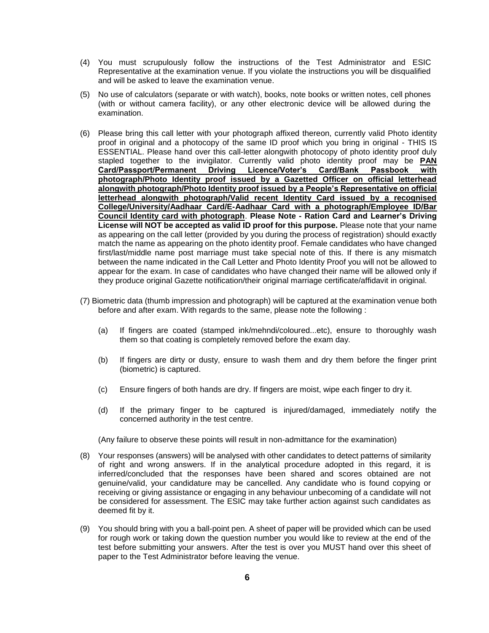- (4) You must scrupulously follow the instructions of the Test Administrator and ESIC Representative at the examination venue. If you violate the instructions you will be disqualified and will be asked to leave the examination venue.
- (5) No use of calculators (separate or with watch), books, note books or written notes, cell phones (with or without camera facility), or any other electronic device will be allowed during the examination.
- (6) Please bring this call letter with your photograph affixed thereon, currently valid Photo identity proof in original and a photocopy of the same ID proof which you bring in original - THIS IS ESSENTIAL. Please hand over this call-letter alongwith photocopy of photo identity proof duly stapled together to the invigilator. Currently valid photo identity proof may be **PAN Card/Passport/Permanent Driving Licence/Voter's Card/Bank Passbook with photograph/Photo Identity proof issued by a Gazetted Officer on official letterhead alongwith photograph/Photo Identity proof issued by a People's Representative on official letterhead alongwith photograph/Valid recent Identity Card issued by a recognised College/University/Aadhaar Card/E-Aadhaar Card with a photograph/Employee ID/Bar Council Identity card with photograph**. **Please Note - Ration Card and Learner's Driving License will NOT be accepted as valid ID proof for this purpose.** Please note that your name as appearing on the call letter (provided by you during the process of registration) should exactly match the name as appearing on the photo identity proof. Female candidates who have changed first/last/middle name post marriage must take special note of this. If there is any mismatch between the name indicated in the Call Letter and Photo Identity Proof you will not be allowed to appear for the exam. In case of candidates who have changed their name will be allowed only if they produce original Gazette notification/their original marriage certificate/affidavit in original.
- (7) Biometric data (thumb impression and photograph) will be captured at the examination venue both before and after exam. With regards to the same, please note the following :
	- (a) If fingers are coated (stamped ink/mehndi/coloured...etc), ensure to thoroughly wash them so that coating is completely removed before the exam day.
	- (b) If fingers are dirty or dusty, ensure to wash them and dry them before the finger print (biometric) is captured.
	- (c) Ensure fingers of both hands are dry. If fingers are moist, wipe each finger to dry it.
	- (d) If the primary finger to be captured is injured/damaged, immediately notify the concerned authority in the test centre.

(Any failure to observe these points will result in non-admittance for the examination)

- (8) Your responses (answers) will be analysed with other candidates to detect patterns of similarity of right and wrong answers. If in the analytical procedure adopted in this regard, it is inferred/concluded that the responses have been shared and scores obtained are not genuine/valid, your candidature may be cancelled. Any candidate who is found copying or receiving or giving assistance or engaging in any behaviour unbecoming of a candidate will not be considered for assessment. The ESIC may take further action against such candidates as deemed fit by it.
- (9) You should bring with you a ball-point pen. A sheet of paper will be provided which can be used for rough work or taking down the question number you would like to review at the end of the test before submitting your answers. After the test is over you MUST hand over this sheet of paper to the Test Administrator before leaving the venue.